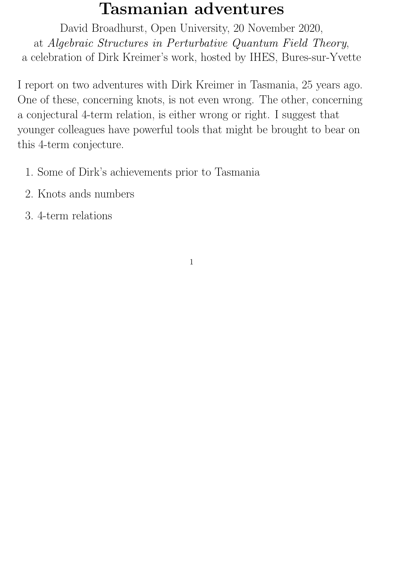# Tasmanian adventures

David Broadhurst, Open University, 20 November 2020, at Algebraic Structures in Perturbative Quantum Field Theory, a celebration of Dirk Kreimer's work, hosted by IHES, Bures-sur-Yvette

I report on two adventures with Dirk Kreimer in Tasmania, 25 years ago. One of these, concerning knots, is not even wrong. The other, concerning a conjectural 4-term relation, is either wrong or right. I suggest that younger colleagues have powerful tools that might be brought to bear on this 4-term conjecture.

- 1. Some of Dirk's achievements prior to Tasmania
- 2. Knots ands numbers
- 3. 4-term relations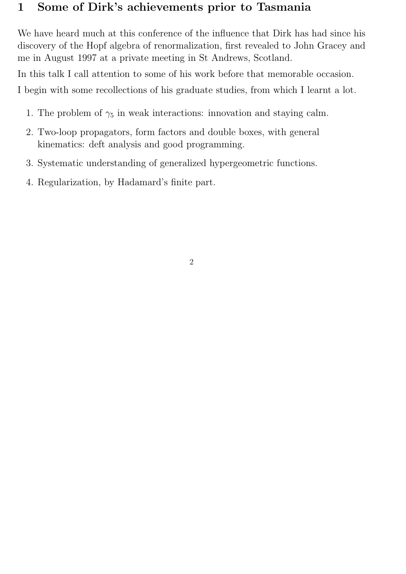# 1 Some of Dirk's achievements prior to Tasmania

We have heard much at this conference of the influence that Dirk has had since his discovery of the Hopf algebra of renormalization, first revealed to John Gracey and me in August 1997 at a private meeting in St Andrews, Scotland.

In this talk I call attention to some of his work before that memorable occasion.

I begin with some recollections of his graduate studies, from which I learnt a lot.

- 1. The problem of  $\gamma_5$  in weak interactions: innovation and staying calm.
- 2. Two-loop propagators, form factors and double boxes, with general kinematics: deft analysis and good programming.
- 3. Systematic understanding of generalized hypergeometric functions.
- 4. Regularization, by Hadamard's finite part.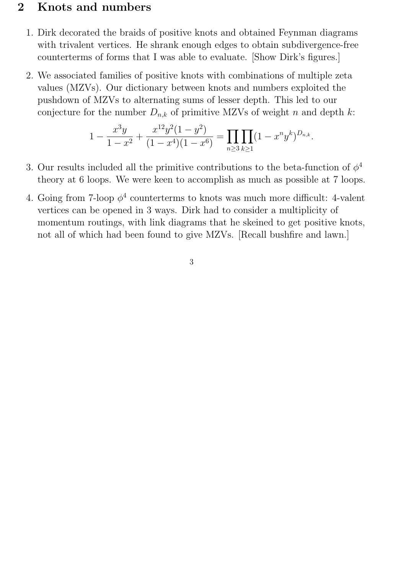## 2 Knots and numbers

- 1. Dirk decorated the braids of positive knots and obtained Feynman diagrams with trivalent vertices. He shrank enough edges to obtain subdivergence-free counterterms of forms that I was able to evaluate. [Show Dirk's figures.]
- 2. We associated families of positive knots with combinations of multiple zeta values (MZVs). Our dictionary between knots and numbers exploited the pushdown of MZVs to alternating sums of lesser depth. This led to our conjecture for the number  $D_{n,k}$  of primitive MZVs of weight n and depth k:

$$
1 - \frac{x^3y}{1 - x^2} + \frac{x^{12}y^2(1 - y^2)}{(1 - x^4)(1 - x^6)} = \prod_{n \ge 3} \prod_{k \ge 1} (1 - x^ny^k)^{D_{n,k}}.
$$

- 3. Our results included all the primitive contributions to the beta-function of  $\phi^4$ theory at 6 loops. We were keen to accomplish as much as possible at 7 loops.
- 4. Going from 7-loop  $\phi^4$  counterterms to knots was much more difficult: 4-valent vertices can be opened in 3 ways. Dirk had to consider a multiplicity of momentum routings, with link diagrams that he skeined to get positive knots, not all of which had been found to give MZVs. [Recall bushfire and lawn.]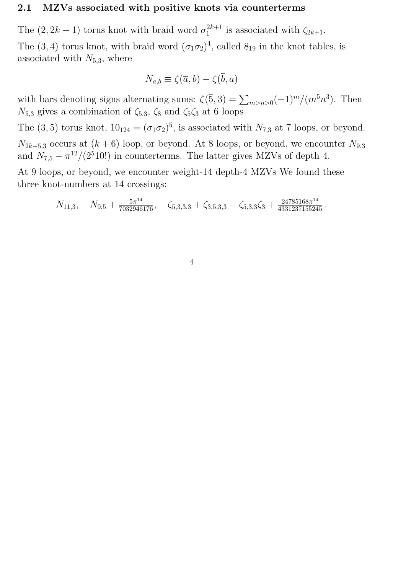#### 2.1 MZVs associated with positive knots via counterterms

The  $(2, 2k+1)$  torus knot with braid word  $\sigma_1^{2k+1}$  $i_1^{2k+1}$  is associated with  $\zeta_{2k+1}$ .

The (3, 4) torus knot, with braid word  $(\sigma_1 \sigma_2)^4$ , called  $8_{19}$  in the knot tables, is associated with  $N_{5,3}$ , where

$$
N_{a,b} \equiv \zeta(\overline{a},b) - \zeta(\overline{b},a)
$$

with bars denoting signs alternating sums:  $\zeta(5,3) = \sum_{m>n>0} (-1)^m/(m^5 n^3)$ . Then  $N_{5,3}$  gives a combination of  $\zeta_{5,3}$ ,  $\zeta_8$  and  $\zeta_5\zeta_3$  at 6 loops

The (3, 5) torus knot,  $10_{124} = (\sigma_1 \sigma_2)^5$ , is associated with  $N_{7,3}$  at 7 loops, or beyond.  $N_{2k+5,3}$  occurs at  $(k+6)$  loop, or beyond. At 8 loops, or beyond, we encounter  $N_{9,3}$ and  $N_{7,5} - \pi^{12}/(2^5 10!)$  in counterterms. The latter gives MZVs of depth 4.

At 9 loops, or beyond, we encounter weight-14 depth-4 MZVs We found these three knot-numbers at 14 crossings:

$$
N_{11,3}, \quad N_{9,5} + \frac{5\pi^{14}}{7032946176}, \quad \zeta_{5,3,3,3} + \zeta_{3,5,3,3} - \zeta_{5,3,3}\zeta_3 + \frac{24785168\pi^{14}}{4331237155245}.
$$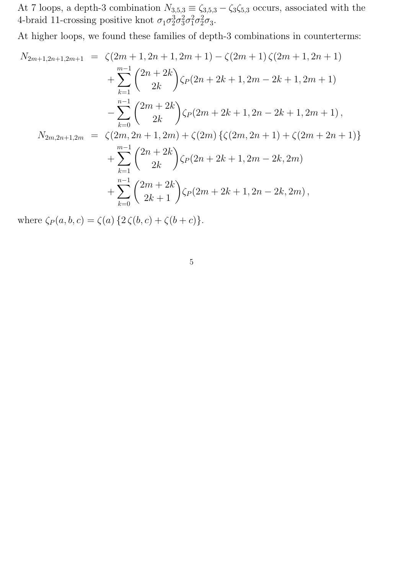At 7 loops, a depth-3 combination  $N_{3,5,3} \equiv \zeta_{3,5,3} - \zeta_3 \zeta_{5,3}$  occurs, associated with the 4-braid 11-crossing positive knot  $\sigma_1 \sigma_2^3 \sigma_3^2 \sigma_1^2 \sigma_2^2 \sigma_3$ .

At higher loops, we found these families of depth-3 combinations in counterterms:

$$
N_{2m+1,2n+1,2m+1} = \zeta(2m+1,2n+1,2m+1) - \zeta(2m+1)\zeta(2m+1,2n+1) + \sum_{k=1}^{m-1} {2n+2k \choose 2k} \zeta_P(2n+2k+1,2m-2k+1,2m+1) - \sum_{k=0}^{n-1} {2m+2k \choose 2k} \zeta_P(2m+2k+1,2n-2k+1,2m+1), N_{2m,2n+1,2m} = \zeta(2m,2n+1,2m) + \zeta(2m) \{\zeta(2m,2n+1) + \zeta(2m+2n+1)\} + \sum_{k=1}^{m-1} {2n+2k \choose 2k} \zeta_P(2n+2k+1,2m-2k,2m) + \sum_{k=0}^{n-1} {2m+2k \choose 2k+1} \zeta_P(2m+2k+1,2n-2k,2m),
$$

where  $\zeta_P(a, b, c) = \zeta(a) \{2\,\zeta(b, c) + \zeta(b+c)\}.$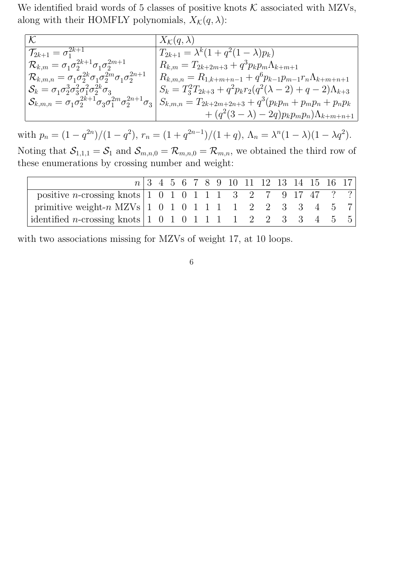We identified braid words of 5 classes of positive knots  $K$  associated with MZVs, along with their HOMFLY polynomials,  $X_{\mathcal{K}}(q, \lambda)$ :

| $\mathcal{K}$                                                                                  | $X_{\mathcal{K}}(q,\lambda)$                                                  |
|------------------------------------------------------------------------------------------------|-------------------------------------------------------------------------------|
| $\mathcal{T}_{2k+1}=\sigma_{1}^{2k+1}.$                                                        | $T_{2k+1} = \lambda^k (1 + q^2 (1 - \lambda) p_k)$                            |
| $^\top \mathcal{R}_{k,m} = \sigma_1 \sigma_2^{2k+1} \sigma_1 \sigma_2^{2m+1} \ .$              | $R_{k,m} = T_{2k+2m+3} + q^3 p_k p_m \Lambda_{k+m+1}$                         |
| $\mathcal{R}_{k,m,n} = \sigma_1 \sigma_2^{2k} \sigma_1 \sigma_2^{2m} \sigma_1 \sigma_2^{2n+1}$ | $R_{k,m,n} = R_{1,k+m+n-1} + q^6 p_{k-1} p_{m-1} r_n \Lambda_{k+m+n+1}$       |
| $\mathcal{S}_k = \sigma_1 \sigma_2^3 \sigma_3^2 \sigma_1^2 \sigma_2^{2k} \sigma_3$             | $S_k = T_3^2 T_{2k+3} + q^2 p_k r_2 (q^2(\lambda - 2) + q - 2) \Lambda_{k+3}$ |
| $\mathcal{S}_{k,m,n}=\sigma_1\sigma_2^{2k+1}\sigma_3\sigma_1^{2m}\sigma_2^{2n+1}\sigma_3$      | $S_{k,m,n} = T_{2k+2m+2n+3} + q^3(p_kp_m + p_mp_n + p_np_k)$                  |
|                                                                                                | $+(q^2(3-\lambda)-2q)p_kp_mp_n)\Lambda_{k+m+n+1}$                             |

with  $p_n = (1 - q^{2n})/(1 - q^2)$ ,  $r_n = (1 + q^{2n-1})/(1 + q)$ ,  $\Lambda_n = \lambda^n (1 - \lambda)(1 - \lambda q^2)$ . Noting that  $S_{1,1,1} = S_1$  and  $S_{m,n,0} = \mathcal{R}_{m,n,0} = \mathcal{R}_{m,n}$ , we obtained the third row of these enumerations by crossing number and weight:

|                                                                                                                                      |  |  |  |  |  |  | $n \mid 3$ 4 5 6 7 8 9 10 11 12 13 14 15 16 17 |  |
|--------------------------------------------------------------------------------------------------------------------------------------|--|--|--|--|--|--|------------------------------------------------|--|
| positive <i>n</i> -crossing knots $ 1 \t0 \t1 \t1 \t1 \t3 \t2 \t7 \t9 \t17 \t47 \t?$                                                 |  |  |  |  |  |  |                                                |  |
| primitive weight-n MZVs   1 0 1 0 1 1 1 1 2 2 3 3 4 5 7                                                                              |  |  |  |  |  |  |                                                |  |
| identified <i>n</i> -crossing knots $\begin{array}{ccccccccc} 1 & 0 & 1 & 0 & 1 & 1 & 1 & 1 & 2 & 2 & 3 & 3 & 4 & 5 & 5 \end{array}$ |  |  |  |  |  |  |                                                |  |

with two associations missing for MZVs of weight 17, at 10 loops.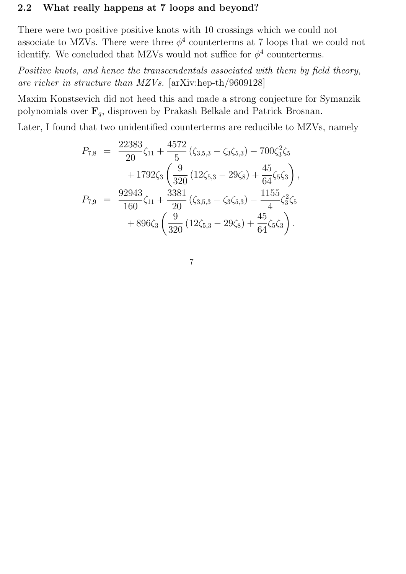### 2.2 What really happens at 7 loops and beyond?

There were two positive positive knots with 10 crossings which we could not associate to MZVs. There were three  $\phi^4$  counterterms at 7 loops that we could not identify. We concluded that MZVs would not suffice for  $\phi^4$  counterterms.

Positive knots, and hence the transcendentals associated with them by field theory, are richer in structure than MZVs. [arXiv:hep-th/9609128]

Maxim Konstsevich did not heed this and made a strong conjecture for Symanzik polynomials over  $\mathbf{F}_q$ , disproven by Prakash Belkale and Patrick Brosnan.

Later, I found that two unidentified counterterms are reducible to MZVs, namely

 $4572$ 

$$
P_{7,8} = \frac{22383}{20} \zeta_{11} + \frac{4572}{5} (\zeta_{3,5,3} - \zeta_3 \zeta_{5,3}) - 700 \zeta_3^2 \zeta_5 + 1792 \zeta_3 \left( \frac{9}{320} (12 \zeta_{5,3} - 29 \zeta_8) + \frac{45}{64} \zeta_5 \zeta_3 \right),
$$
  

$$
P_{7,9} = \frac{92943}{160} \zeta_{11} + \frac{3381}{20} (\zeta_{3,5,3} - \zeta_3 \zeta_{5,3}) - \frac{1155}{4} \zeta_3^2 \zeta_5 + 896 \zeta_3 \left( \frac{9}{320} (12 \zeta_{5,3} - 29 \zeta_8) + \frac{45}{64} \zeta_5 \zeta_3 \right).
$$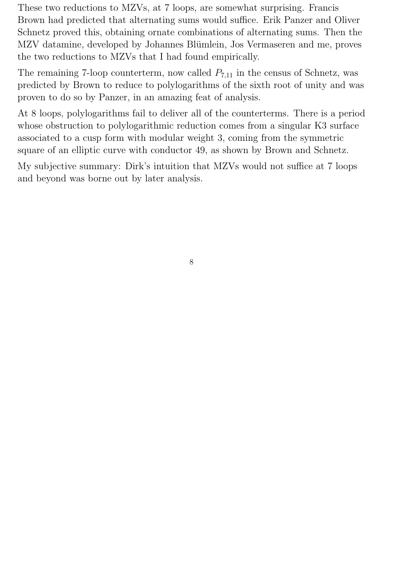These two reductions to MZVs, at 7 loops, are somewhat surprising. Francis Brown had predicted that alternating sums would suffice. Erik Panzer and Oliver Schnetz proved this, obtaining ornate combinations of alternating sums. Then the MZV datamine, developed by Johannes Blümlein, Jos Vermaseren and me, proves the two reductions to MZVs that I had found empirically.

The remaining 7-loop counterterm, now called  $P_{7,11}$  in the census of Schnetz, was predicted by Brown to reduce to polylogarithms of the sixth root of unity and was proven to do so by Panzer, in an amazing feat of analysis.

At 8 loops, polylogarithms fail to deliver all of the counterterms. There is a period whose obstruction to polylogarithmic reduction comes from a singular K3 surface associated to a cusp form with modular weight 3, coming from the symmetric square of an elliptic curve with conductor 49, as shown by Brown and Schnetz.

My subjective summary: Dirk's intuition that MZVs would not suffice at 7 loops and beyond was borne out by later analysis.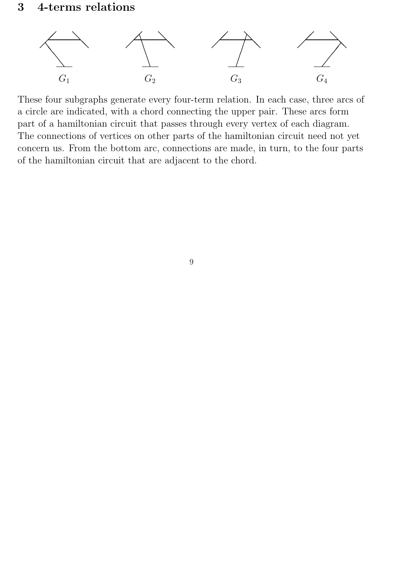

These four subgraphs generate every four-term relation. In each case, three arcs of a circle are indicated, with a chord connecting the upper pair. These arcs form part of a hamiltonian circuit that passes through every vertex of each diagram. The connections of vertices on other parts of the hamiltonian circuit need not yet concern us. From the bottom arc, connections are made, in turn, to the four parts of the hamiltonian circuit that are adjacent to the chord.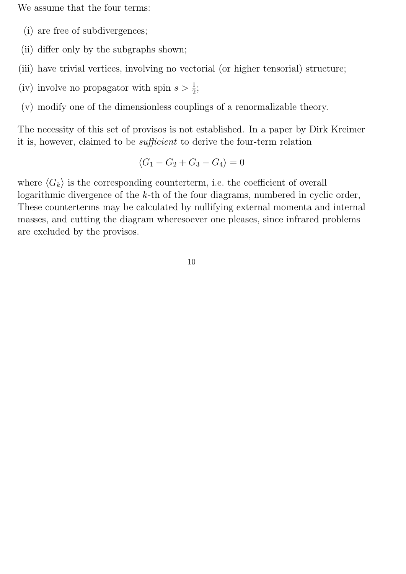We assume that the four terms:

- (i) are free of subdivergences;
- (ii) differ only by the subgraphs shown;
- (iii) have trivial vertices, involving no vectorial (or higher tensorial) structure;
- (iv) involve no propagator with spin  $s > \frac{1}{2}$ ;
- (v) modify one of the dimensionless couplings of a renormalizable theory.

The necessity of this set of provisos is not established. In a paper by Dirk Kreimer it is, however, claimed to be sufficient to derive the four-term relation

$$
\langle G_1 - G_2 + G_3 - G_4 \rangle = 0
$$

where  $\langle G_k \rangle$  is the corresponding counterterm, i.e. the coefficient of overall logarithmic divergence of the k-th of the four diagrams, numbered in cyclic order, These counterterms may be calculated by nullifying external momenta and internal masses, and cutting the diagram wheresoever one pleases, since infrared problems are excluded by the provisos.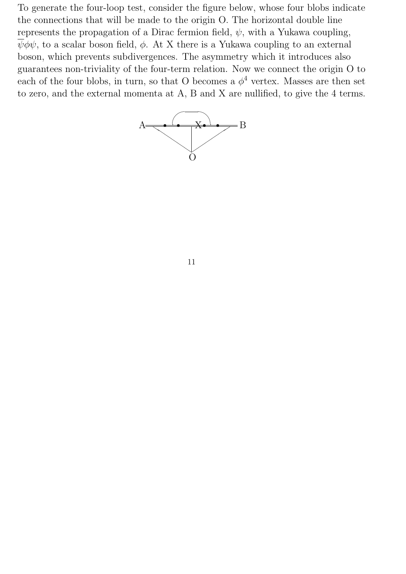To generate the four-loop test, consider the figure below, whose four blobs indicate the connections that will be made to the origin O. The horizontal double line represents the propagation of a Dirac fermion field,  $\psi$ , with a Yukawa coupling,  $\overline{\psi}\phi\psi$ , to a scalar boson field,  $\phi$ . At X there is a Yukawa coupling to an external boson, which prevents subdivergences. The asymmetry which it introduces also guarantees non-triviality of the four-term relation. Now we connect the origin O to each of the four blobs, in turn, so that O becomes a  $\phi^4$  vertex. Masses are then set to zero, and the external momenta at A, B and X are nullified, to give the 4 terms.

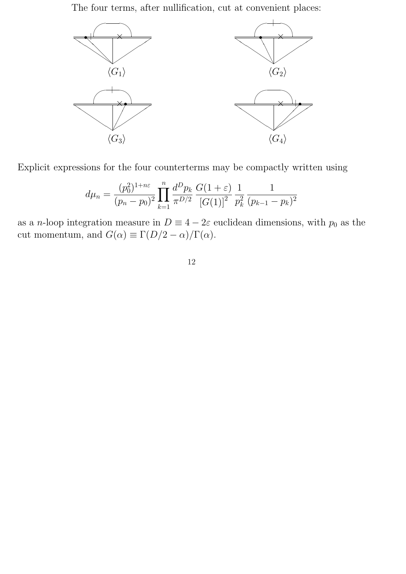The four terms, after nullification, cut at convenient places:



Explicit expressions for the four counterterms may be compactly written using

$$
d\mu_n = \frac{(p_0^2)^{1+n\varepsilon}}{(p_n - p_0)^2} \prod_{k=1}^n \frac{d^D p_k}{\pi^{D/2}} \frac{G(1+\varepsilon)}{[G(1)]^2} \frac{1}{p_k^2} \frac{1}{(p_{k-1} - p_k)^2}
$$

as a n-loop integration measure in  $D \equiv 4 - 2\varepsilon$  euclidean dimensions, with  $p_0$  as the cut momentum, and  $G(\alpha) \equiv \Gamma(D/2 - \alpha)/\Gamma(\alpha)$ .

12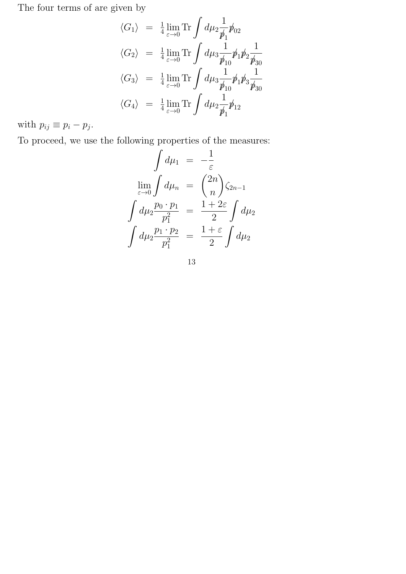The four terms of are given by

$$
\langle G_1 \rangle = \frac{1}{4} \lim_{\varepsilon \to 0} \text{Tr} \int d\mu_2 \frac{1}{\not p_1} \not p_{02}
$$
  

$$
\langle G_2 \rangle = \frac{1}{4} \lim_{\varepsilon \to 0} \text{Tr} \int d\mu_3 \frac{1}{\not p_{10}} \not p_1 \not p_2 \frac{1}{\not p_{30}}
$$
  

$$
\langle G_3 \rangle = \frac{1}{4} \lim_{\varepsilon \to 0} \text{Tr} \int d\mu_3 \frac{1}{\not p_{10}} \not p_1 \not p_3 \frac{1}{\not p_{30}}
$$
  

$$
\langle G_4 \rangle = \frac{1}{4} \lim_{\varepsilon \to 0} \text{Tr} \int d\mu_2 \frac{1}{\not p_1} \not p_{12}
$$

with  $p_{ij} \equiv p_i - p_j$ .

To proceed, we use the following properties of the measures:

$$
\int d\mu_1 = -\frac{1}{\varepsilon}
$$

$$
\lim_{\varepsilon \to 0} \int d\mu_n = {2n \choose n} \zeta_{2n-1}
$$

$$
\int d\mu_2 \frac{p_0 \cdot p_1}{p_1^2} = \frac{1+2\varepsilon}{2} \int d\mu_2
$$

$$
\int d\mu_2 \frac{p_1 \cdot p_2}{p_1^2} = \frac{1+\varepsilon}{2} \int d\mu_2
$$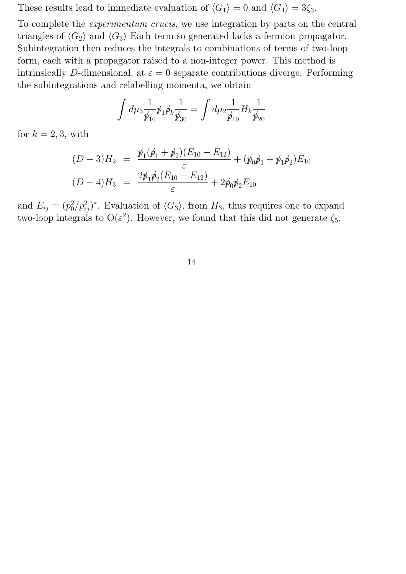These results lead to immediate evaluation of  $\langle G_1 \rangle = 0$  and  $\langle G_4 \rangle = 3\zeta_3$ .

To complete the experimentum crucis, we use integration by parts on the central triangles of  $\langle G_2 \rangle$  and  $\langle G_3 \rangle$  Each term so generated lacks a fermion propagator. Subintegration then reduces the integrals to combinations of terms of two-loop form, each with a propagator raised to a non-integer power. This method is intrinsically D-dimensional; at  $\varepsilon = 0$  separate contributions diverge. Performing the subintegrations and relabelling momenta, we obtain

$$
\int d\mu_3 \frac{1}{\not p_{10}} \not p_1 \not p_k \frac{1}{\not p_{30}} = \int d\mu_2 \frac{1}{\not p_{10}} H_k \frac{1}{\not p_{20}}
$$

for  $k = 2, 3$ , with

$$
(D-3)H_2 = \frac{\not p_1(\not p_1 + \not p_2)(E_{10} - E_{12})}{\varepsilon} + (\not p_0 \not p_1 + \not p_1 \not p_2)E_{10}
$$
  

$$
(D-4)H_3 = \frac{2\not p_1 \not p_2(E_{10} - E_{12})}{\varepsilon} + 2\not p_0 \not p_2 E_{10}
$$

and  $E_{ij} \equiv (p_0^2)$  $\{a_0^2/p_{ij}^2\}$ <sup> $\varepsilon$ </sup>. Evaluation of  $\langle G_3 \rangle$ , from  $H_3$ , thus requires one to expand two-loop integrals to  $O(\varepsilon^2)$ . However, we found that this did not generate  $\zeta_5$ .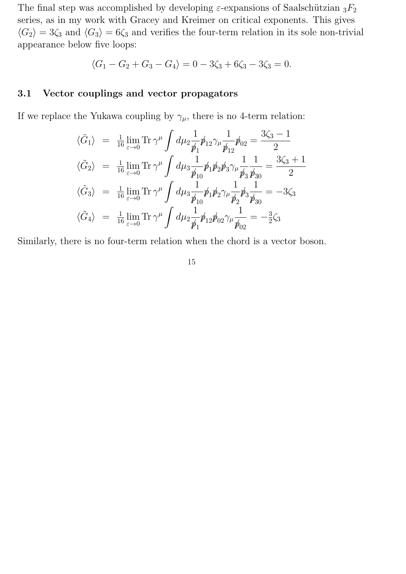The final step was accomplished by developing  $\varepsilon$ -expansions of Saalschützian  ${}_{3}F_{2}$ series, as in my work with Gracey and Kreimer on critical exponents. This gives  $\langle G_2 \rangle = 3\zeta_3$  and  $\langle G_3 \rangle = 6\zeta_3$  and verifies the four-term relation in its sole non-trivial appearance below five loops:

$$
\langle G_1 - G_2 + G_3 - G_4 \rangle = 0 - 3\zeta_3 + 6\zeta_3 - 3\zeta_3 = 0.
$$

#### 3.1 Vector couplings and vector propagators

If we replace the Yukawa coupling by  $\gamma_{\mu}$ , there is no 4-term relation:

$$
\langle \tilde{G}_1 \rangle = \frac{1}{16} \lim_{\varepsilon \to 0} \text{Tr} \, \gamma^{\mu} \int d\mu_2 \frac{1}{\not p_1} \not p_{12} \gamma_{\mu} \frac{1}{\not p_{12}} \not p_{02} = \frac{3\zeta_3 - 1}{2}
$$
\n
$$
\langle \tilde{G}_2 \rangle = \frac{1}{16} \lim_{\varepsilon \to 0} \text{Tr} \, \gamma^{\mu} \int d\mu_3 \frac{1}{\not p_{10}} \not p_{1} \not p_{2} \not p_{3} \gamma_{\mu} \frac{1}{\not p_{3}} \frac{1}{\not p_{30}} = \frac{3\zeta_3 + 1}{2}
$$
\n
$$
\langle \tilde{G}_3 \rangle = \frac{1}{16} \lim_{\varepsilon \to 0} \text{Tr} \, \gamma^{\mu} \int d\mu_3 \frac{1}{\not p_{10}} \not p_{1} \not p_{2} \gamma_{\mu} \frac{1}{\not p_{2}} \not p_{3} \frac{1}{\not p_{30}} = -3\zeta_3
$$
\n
$$
\langle \tilde{G}_4 \rangle = \frac{1}{16} \lim_{\varepsilon \to 0} \text{Tr} \, \gamma^{\mu} \int d\mu_2 \frac{1}{\not p_{1}} \not p_{12} \not p_{02} \gamma_{\mu} \frac{1}{\not p_{02}} = -\frac{3}{2}\zeta_3
$$

Similarly, there is no four-term relation when the chord is a vector boson.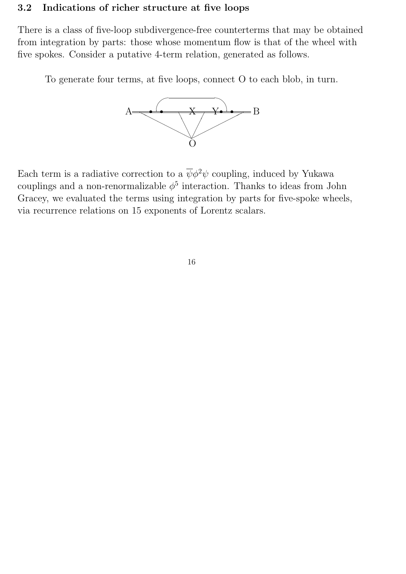#### 3.2 Indications of richer structure at five loops

There is a class of five-loop subdivergence-free counterterms that may be obtained from integration by parts: those whose momentum flow is that of the wheel with five spokes. Consider a putative 4-term relation, generated as follows.

To generate four terms, at five loops, connect O to each blob, in turn.



Each term is a radiative correction to a  $\overline{\psi}\phi^2\psi$  coupling, induced by Yukawa couplings and a non-renormalizable  $\phi^5$  interaction. Thanks to ideas from John Gracey, we evaluated the terms using integration by parts for five-spoke wheels, via recurrence relations on 15 exponents of Lorentz scalars.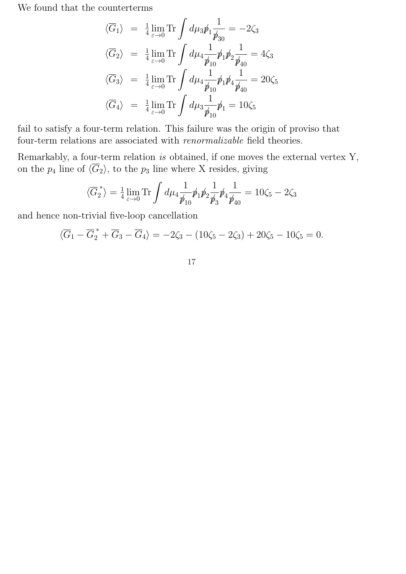We found that the counterterms

$$
\langle \overline{G}_1 \rangle = \frac{1}{4} \lim_{\varepsilon \to 0} \text{Tr} \int d\mu_3 \rlap{\,/} \frac{1}{\rlap{\,/} \frac{1}{\rlap{\,/} \frac{1}{\rlap{\,/} \frac{1}{\rlap{\,/} \frac{1}{\rlap{\,/} \frac{1}{\rlap{\,/} \frac{1}{\rlap{\,/} \frac{1}{\rlap{\,/} \frac{1}{\rlap{\,/} \frac{1}{\rlap{\,/} \frac{1}{\rlap{\,/} \frac{1}{\rlap{\,/} \frac{1}{\rlap{\,/} \frac{1}{\rlap{\,/} \frac{1}{\rlap{\,/} \frac{1}{\rlap{\,/} \frac{1}{\rlap{\,/} \frac{1}{\rlap{\,/} \frac{1}{\rlap{\,/} \frac{1}{\rlap{\,/} \frac{1}{\rlap{\,/} \frac{1}{\rlap{\,/} \frac{1}{\rlap{\,/} \frac{1}{\rlap{\,/} \frac{1}{\rlap{\,/} \frac{1}{\rlap{\,/} \frac{1}{\rlap{\,/} \frac{1}{\rlap{\,/} \frac{1}{\rlap{\,/} \frac{1}{\rlap{\,/} \frac{1}{\rlap{\,/} \frac{1}{\rlap{\,/} \frac{1}{\rlap{\,/} \frac{1}{\rlap{\,/} \frac{1}{\rlap{\,/} \frac{1}{\rlap{\,/} \frac{1}{\rlap{\,/} \frac{1}{\rlap{\,/} \frac{1}{\rlap{\,/} \frac{1}{\rlap{\,/} \frac{1}{\rlap{\,/} \frac{1}{\rlap{\,/} \frac{1}{\rlap{\,/} \frac{1}{\rlap{\,/} \frac{1}{\rlap{\,/} \frac{1}{\rlap{\,/} \frac{1}{\rlap{\,/} \frac{1}{\rlap{\,/} \frac{1}{\rlap{\,/} \frac{1}{\rlap{\,/} \frac{1}{\rlap{\,/} \frac{1}{\rlap{\,/} \frac{1}{\rlap{\,/} \frac{1}{\rlap{\,/} \frac{1}{\rlap{\,/} \frac{1}{\rlap{\,/} \frac{1}{\rlap{\,/} \frac{1}{\rlap{\,/} \frac{1}{\rlap{\,/} \frac{1}{\rlap{\,/} \frac{1}{\rlap{\,/} \frac{1}{\rlap{\,/} \frac{1}{\rlap{\,/} \frac{1}{\rlap{\,/} \frac{1}{\rl
$$

fail to satisfy a four-term relation. This failure was the origin of proviso that four-term relations are associated with renormalizable field theories.

Remarkably, a four-term relation is obtained, if one moves the external vertex Y, on the  $p_4$  line of  $\langle \overline{G}_2 \rangle$ , to the  $p_3$  line where X resides, giving

$$
\langle \overline{G}_2^* \rangle = \frac{1}{4} \lim_{\varepsilon \to 0} \text{Tr} \int d\mu_4 \frac{1}{\not p_{10}} \not p_1 \not p_2 \frac{1}{\not p_3} \not p_4 \frac{1}{\not p_{40}} = 10 \zeta_5 - 2 \zeta_3
$$

and hence non-trivial five-loop cancellation

$$
\langle \overline{G}_1 - \overline{G}_2^* + \overline{G}_3 - \overline{G}_4 \rangle = -2\zeta_3 - (10\zeta_5 - 2\zeta_3) + 20\zeta_5 - 10\zeta_5 = 0.
$$